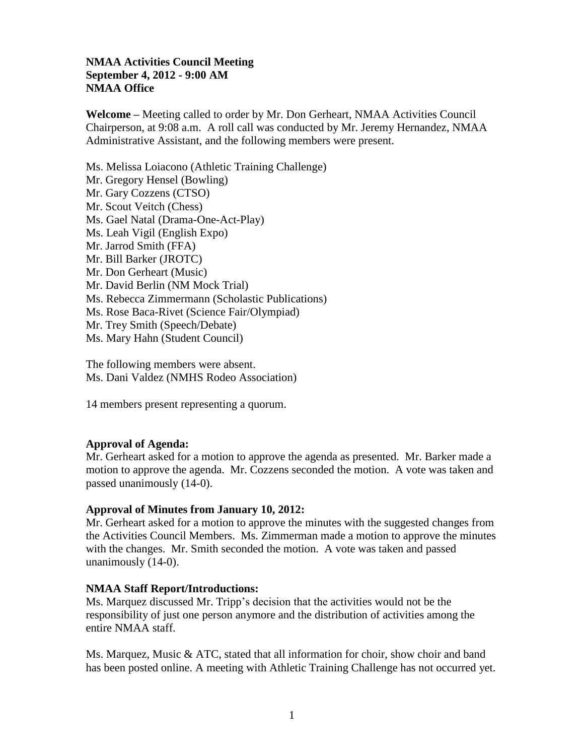## **NMAA Activities Council Meeting September 4, 2012 - 9:00 AM NMAA Office**

**Welcome** *–* Meeting called to order by Mr. Don Gerheart, NMAA Activities Council Chairperson, at 9:08 a.m. A roll call was conducted by Mr. Jeremy Hernandez, NMAA Administrative Assistant, and the following members were present.

Ms. Melissa Loiacono (Athletic Training Challenge) Mr. Gregory Hensel (Bowling) Mr. Gary Cozzens (CTSO) Mr. Scout Veitch (Chess) Ms. Gael Natal (Drama-One-Act-Play) Ms. Leah Vigil (English Expo) Mr. Jarrod Smith (FFA) Mr. Bill Barker (JROTC) Mr. Don Gerheart (Music) Mr. David Berlin (NM Mock Trial) Ms. Rebecca Zimmermann (Scholastic Publications) Ms. Rose Baca-Rivet (Science Fair/Olympiad) Mr. Trey Smith (Speech/Debate) Ms. Mary Hahn (Student Council)

The following members were absent. Ms. Dani Valdez (NMHS Rodeo Association)

14 members present representing a quorum.

### **Approval of Agenda:**

Mr. Gerheart asked for a motion to approve the agenda as presented. Mr. Barker made a motion to approve the agenda. Mr. Cozzens seconded the motion. A vote was taken and passed unanimously (14-0).

### **Approval of Minutes from January 10, 2012:**

Mr. Gerheart asked for a motion to approve the minutes with the suggested changes from the Activities Council Members. Ms. Zimmerman made a motion to approve the minutes with the changes. Mr. Smith seconded the motion. A vote was taken and passed unanimously (14-0).

### **NMAA Staff Report/Introductions:**

Ms. Marquez discussed Mr. Tripp's decision that the activities would not be the responsibility of just one person anymore and the distribution of activities among the entire NMAA staff.

Ms. Marquez, Music  $\&$  ATC, stated that all information for choir, show choir and band has been posted online. A meeting with Athletic Training Challenge has not occurred yet.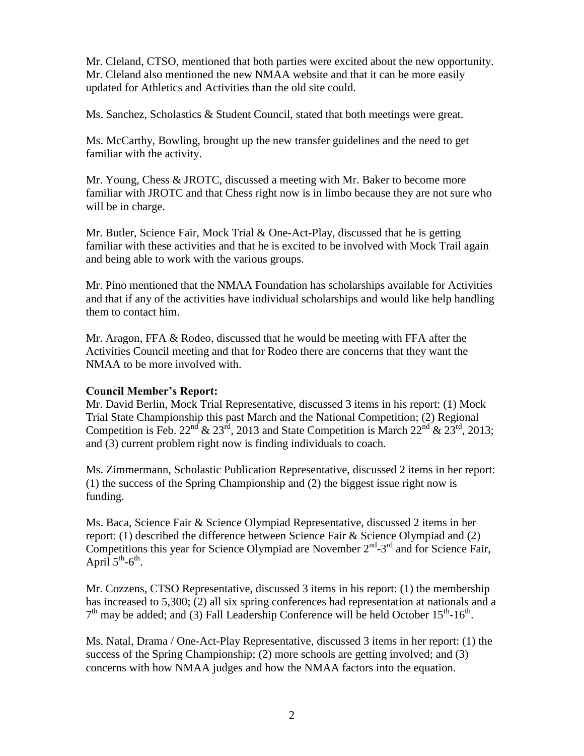Mr. Cleland, CTSO, mentioned that both parties were excited about the new opportunity. Mr. Cleland also mentioned the new NMAA website and that it can be more easily updated for Athletics and Activities than the old site could.

Ms. Sanchez, Scholastics & Student Council, stated that both meetings were great.

Ms. McCarthy, Bowling, brought up the new transfer guidelines and the need to get familiar with the activity.

Mr. Young, Chess & JROTC, discussed a meeting with Mr. Baker to become more familiar with JROTC and that Chess right now is in limbo because they are not sure who will be in charge.

Mr. Butler, Science Fair, Mock Trial & One-Act-Play, discussed that he is getting familiar with these activities and that he is excited to be involved with Mock Trail again and being able to work with the various groups.

Mr. Pino mentioned that the NMAA Foundation has scholarships available for Activities and that if any of the activities have individual scholarships and would like help handling them to contact him.

Mr. Aragon, FFA & Rodeo, discussed that he would be meeting with FFA after the Activities Council meeting and that for Rodeo there are concerns that they want the NMAA to be more involved with.

### **Council Member's Report:**

Mr. David Berlin, Mock Trial Representative, discussed 3 items in his report: (1) Mock Trial State Championship this past March and the National Competition; (2) Regional Competition is Feb.  $22^{nd}$  &  $23^{rd}$ , 2013 and State Competition is March  $22^{nd}$  &  $23^{rd}$ , 2013; and (3) current problem right now is finding individuals to coach.

Ms. Zimmermann, Scholastic Publication Representative, discussed 2 items in her report: (1) the success of the Spring Championship and (2) the biggest issue right now is funding.

Ms. Baca, Science Fair & Science Olympiad Representative, discussed 2 items in her report: (1) described the difference between Science Fair & Science Olympiad and (2) Competitions this year for Science Olympiad are November  $2<sup>nd</sup> - 3<sup>rd</sup>$  and for Science Fair, April  $5^{th}$ -6<sup>th</sup>.

Mr. Cozzens, CTSO Representative, discussed 3 items in his report: (1) the membership has increased to 5,300; (2) all six spring conferences had representation at nationals and a  $7<sup>th</sup>$  may be added; and (3) Fall Leadership Conference will be held October 15<sup>th</sup>-16<sup>th</sup>.

Ms. Natal, Drama / One-Act-Play Representative, discussed 3 items in her report: (1) the success of the Spring Championship; (2) more schools are getting involved; and (3) concerns with how NMAA judges and how the NMAA factors into the equation.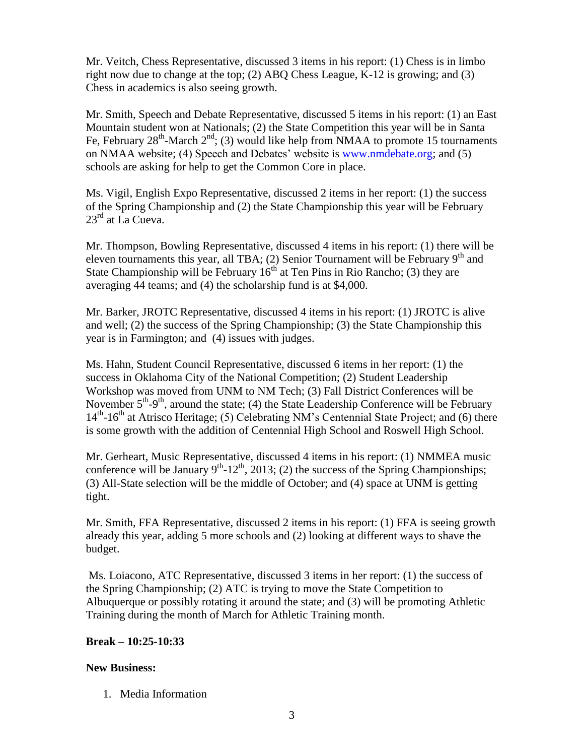Mr. Veitch, Chess Representative, discussed 3 items in his report: (1) Chess is in limbo right now due to change at the top; (2) ABQ Chess League, K-12 is growing; and (3) Chess in academics is also seeing growth.

Mr. Smith, Speech and Debate Representative, discussed 5 items in his report: (1) an East Mountain student won at Nationals; (2) the State Competition this year will be in Santa Fe, February  $28^{\text{th}}$ -March  $2^{\text{nd}}$ ; (3) would like help from NMAA to promote 15 tournaments on NMAA website; (4) Speech and Debates' website is [www.nmdebate.org;](http://www.nmdebate.org/) and (5) schools are asking for help to get the Common Core in place.

Ms. Vigil, English Expo Representative, discussed 2 items in her report: (1) the success of the Spring Championship and (2) the State Championship this year will be February  $23^{\text{rd}}$  at La Cueva.

Mr. Thompson, Bowling Representative, discussed 4 items in his report: (1) there will be eleven tournaments this year, all TBA; (2) Senior Tournament will be February  $9<sup>th</sup>$  and State Championship will be February  $16<sup>th</sup>$  at Ten Pins in Rio Rancho; (3) they are averaging 44 teams; and (4) the scholarship fund is at \$4,000.

Mr. Barker, JROTC Representative, discussed 4 items in his report: (1) JROTC is alive and well; (2) the success of the Spring Championship; (3) the State Championship this year is in Farmington; and (4) issues with judges.

Ms. Hahn, Student Council Representative, discussed 6 items in her report: (1) the success in Oklahoma City of the National Competition; (2) Student Leadership Workshop was moved from UNM to NM Tech; (3) Fall District Conferences will be November  $5<sup>th</sup>-9<sup>th</sup>$ , around the state; (4) the State Leadership Conference will be February 14<sup>th</sup>-16<sup>th</sup> at Atrisco Heritage; (5) Celebrating NM's Centennial State Project; and (6) there is some growth with the addition of Centennial High School and Roswell High School.

Mr. Gerheart, Music Representative, discussed 4 items in his report: (1) NMMEA music conference will be January  $9<sup>th</sup>$ -12<sup>th</sup>, 2013; (2) the success of the Spring Championships; (3) All-State selection will be the middle of October; and (4) space at UNM is getting tight.

Mr. Smith, FFA Representative, discussed 2 items in his report: (1) FFA is seeing growth already this year, adding 5 more schools and (2) looking at different ways to shave the budget.

Ms. Loiacono, ATC Representative, discussed 3 items in her report: (1) the success of the Spring Championship; (2) ATC is trying to move the State Competition to Albuquerque or possibly rotating it around the state; and (3) will be promoting Athletic Training during the month of March for Athletic Training month.

# **Break – 10:25-10:33**

# **New Business:**

1. Media Information